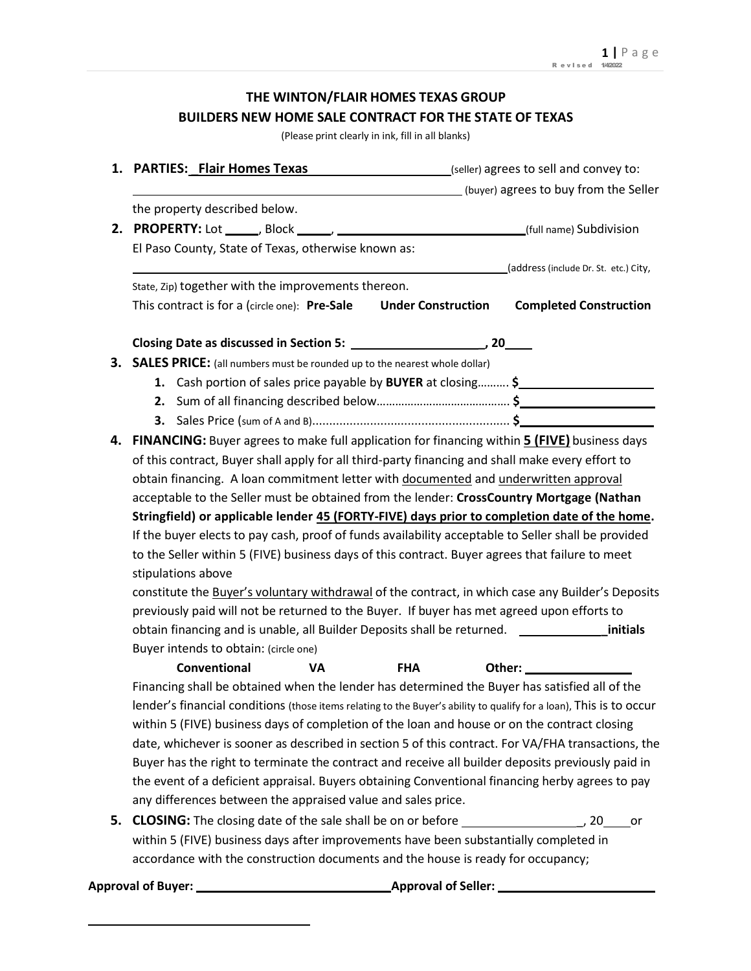# **THE WINTON/FLAIR HOMES TEXAS GROUP BUILDERS NEW HOME SALE CONTRACT FOR THE STATE OF TEXAS**

(Please print clearly in ink, fill in all blanks)

|    | 1. PARTIES: Flair Homes Texas<br>(seller) agrees to sell and convey to:                                             |
|----|---------------------------------------------------------------------------------------------------------------------|
|    | (buyer) agrees to buy from the Seller                                                                               |
|    | the property described below.                                                                                       |
|    |                                                                                                                     |
|    | El Paso County, State of Texas, otherwise known as:                                                                 |
|    | (address (include Dr. St. etc.) City,                                                                               |
|    | State, Zip) together with the improvements thereon.                                                                 |
|    | This contract is for a (circle one): Pre-Sale<br><b>Under Construction</b><br><b>Completed Construction</b>         |
|    |                                                                                                                     |
|    |                                                                                                                     |
| З. | <b>SALES PRICE:</b> (all numbers must be rounded up to the nearest whole dollar)                                    |
|    | 1. Cash portion of sales price payable by BUYER at closing \$                                                       |
|    |                                                                                                                     |
|    |                                                                                                                     |
| 4. | FINANCING: Buyer agrees to make full application for financing within <b>5 (FIVE)</b> business days                 |
|    | of this contract, Buyer shall apply for all third-party financing and shall make every effort to                    |
|    | obtain financing. A loan commitment letter with documented and underwritten approval                                |
|    | acceptable to the Seller must be obtained from the lender: CrossCountry Mortgage (Nathan                            |
|    | Stringfield) or applicable lender 45 (FORTY-FIVE) days prior to completion date of the home.                        |
|    | If the buyer elects to pay cash, proof of funds availability acceptable to Seller shall be provided                 |
|    | to the Seller within 5 (FIVE) business days of this contract. Buyer agrees that failure to meet                     |
|    | stipulations above                                                                                                  |
|    | constitute the Buyer's voluntary withdrawal of the contract, in which case any Builder's Deposits                   |
|    | previously paid will not be returned to the Buyer. If buyer has met agreed upon efforts to                          |
|    |                                                                                                                     |
|    | Buyer intends to obtain: (circle one)                                                                               |
|    | Conventional<br>VA<br><b>FHA</b>                                                                                    |
|    | Financing shall be obtained when the lender has determined the Buyer has satisfied all of the                       |
|    | lender's financial conditions (those items relating to the Buyer's ability to qualify for a loan), This is to occur |
|    | within 5 (FIVE) business days of completion of the loan and house or on the contract closing                        |
|    | date, whichever is sooner as described in section 5 of this contract. For VA/FHA transactions, the                  |
|    | Buyer has the right to terminate the contract and receive all builder deposits previously paid in                   |
|    | the event of a deficient appraisal. Buyers obtaining Conventional financing herby agrees to pay                     |
|    | any differences between the appraised value and sales price.                                                        |
| 5. | <b>CLOSING:</b> The closing date of the sale shall be on or before ___________________<br>, 20<br>or                |
|    | within 5 (FIVE) business days after improvements have been substantially completed in                               |
|    | accordance with the construction documents and the house is ready for occupancy;                                    |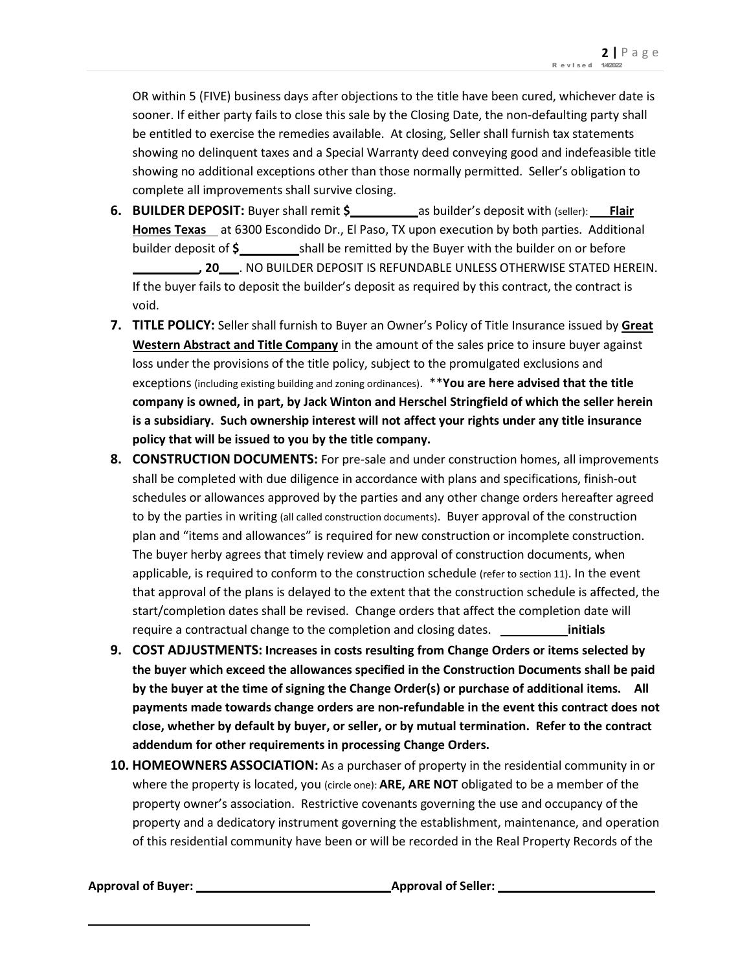OR within 5 (FIVE) business days after objections to the title have been cured, whichever date is sooner. If either party fails to close this sale by the Closing Date, the non-defaulting party shall be entitled to exercise the remedies available. At closing, Seller shall furnish tax statements showing no delinquent taxes and a Special Warranty deed conveying good and indefeasible title showing no additional exceptions other than those normally permitted. Seller's obligation to complete all improvements shall survive closing.

- **6. BUILDER DEPOSIT:** Buyer shall remit  $\frac{2}{3}$  as builder's deposit with (seller): Flair **Homes Texas** at 6300 Escondido Dr., El Paso, TX upon execution by both parties. Additional builder deposit of **\$** shall be remitted by the Buyer with the builder on or before **, 20** . NO BUILDER DEPOSIT IS REFUNDABLE UNLESS OTHERWISE STATED HEREIN. If the buyer fails to deposit the builder's deposit as required by this contract, the contract is void.
- **7. TITLE POLICY:** Seller shall furnish to Buyer an Owner's Policy of Title Insurance issued by **Great Western Abstract and Title Company** in the amount of the sales price to insure buyer against loss under the provisions of the title policy, subject to the promulgated exclusions and exceptions (including existing building and zoning ordinances). \*\***You are here advised that the title company is owned, in part, by Jack Winton and Herschel Stringfield of which the seller herein is a subsidiary. Such ownership interest will not affect your rights under any title insurance policy that will be issued to you by the title company.**
- **8. CONSTRUCTION DOCUMENTS:** For pre-sale and under construction homes, all improvements shall be completed with due diligence in accordance with plans and specifications, finish-out schedules or allowances approved by the parties and any other change orders hereafter agreed to by the parties in writing (all called construction documents). Buyer approval of the construction plan and "items and allowances" is required for new construction or incomplete construction. The buyer herby agrees that timely review and approval of construction documents, when applicable, is required to conform to the construction schedule (refer to section 11). In the event that approval of the plans is delayed to the extent that the construction schedule is affected, the start/completion dates shall be revised. Change orders that affect the completion date will require a contractual change to the completion and closing dates. **initials**
- **9. COST ADJUSTMENTS: Increases in costs resulting from Change Orders or items selected by the buyer which exceed the allowances specified in the Construction Documents shall be paid by the buyer at the time of signing the Change Order(s) or purchase of additional items. All payments made towards change orders are non-refundable in the event this contract does not close, whether by default by buyer, or seller, or by mutual termination. Refer to the contract addendum for other requirements in processing Change Orders.**
- **10. HOMEOWNERS ASSOCIATION:** As a purchaser of property in the residential community in or where the property is located, you (circle one): **ARE, ARE NOT** obligated to be a member of the property owner's association. Restrictive covenants governing the use and occupancy of the property and a dedicatory instrument governing the establishment, maintenance, and operation of this residential community have been or will be recorded in the Real Property Records of the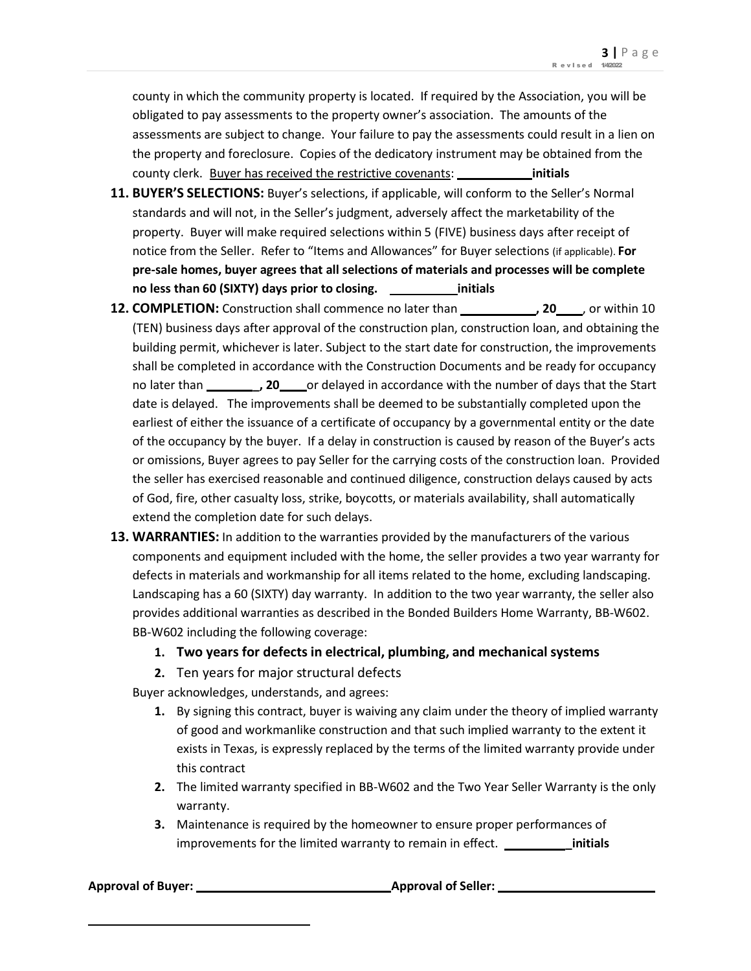county in which the community property is located. If required by the Association, you will be obligated to pay assessments to the property owner's association. The amounts of the assessments are subject to change. Your failure to pay the assessments could result in a lien on the property and foreclosure. Copies of the dedicatory instrument may be obtained from the county clerk. Buyer has received the restrictive covenants: **initials**

- **11. BUYER'S SELECTIONS:** Buyer's selections, if applicable, will conform to the Seller's Normal standards and will not, in the Seller's judgment, adversely affect the marketability of the property. Buyer will make required selections within 5 (FIVE) business days after receipt of notice from the Seller. Refer to "Items and Allowances" for Buyer selections (if applicable). **For pre-sale homes, buyer agrees that all selections of materials and processes will be complete no less than 60 (SIXTY) days prior to closing. initials**
- **12. COMPLETION:** Construction shall commence no later than **, 20 , 20 , 20** , or within 10 (TEN) business days after approval of the construction plan, construction loan, and obtaining the building permit, whichever is later. Subject to the start date for construction, the improvements shall be completed in accordance with the Construction Documents and be ready for occupancy no later than *\_\_\_\_\_\_***, 20** or delayed in accordance with the number of days that the Start date is delayed. The improvements shall be deemed to be substantially completed upon the earliest of either the issuance of a certificate of occupancy by a governmental entity or the date of the occupancy by the buyer. If a delay in construction is caused by reason of the Buyer's acts or omissions, Buyer agrees to pay Seller for the carrying costs of the construction loan. Provided the seller has exercised reasonable and continued diligence, construction delays caused by acts of God, fire, other casualty loss, strike, boycotts, or materials availability, shall automatically extend the completion date for such delays.
- **13. WARRANTIES:** In addition to the warranties provided by the manufacturers of the various components and equipment included with the home, the seller provides a two year warranty for defects in materials and workmanship for all items related to the home, excluding landscaping. Landscaping has a 60 (SIXTY) day warranty. In addition to the two year warranty, the seller also provides additional warranties as described in the Bonded Builders Home Warranty, BB-W602. BB-W602 including the following coverage:
	- **1. Two years for defects in electrical, plumbing, and mechanical systems**
	- **2.** Ten years for major structural defects

Buyer acknowledges, understands, and agrees:

- **1.** By signing this contract, buyer is waiving any claim under the theory of implied warranty of good and workmanlike construction and that such implied warranty to the extent it exists in Texas, is expressly replaced by the terms of the limited warranty provide under this contract
- **2.** The limited warranty specified in BB-W602 and the Two Year Seller Warranty is the only warranty.
- **3.** Maintenance is required by the homeowner to ensure proper performances of improvements for the limited warranty to remain in effect. *winder* initials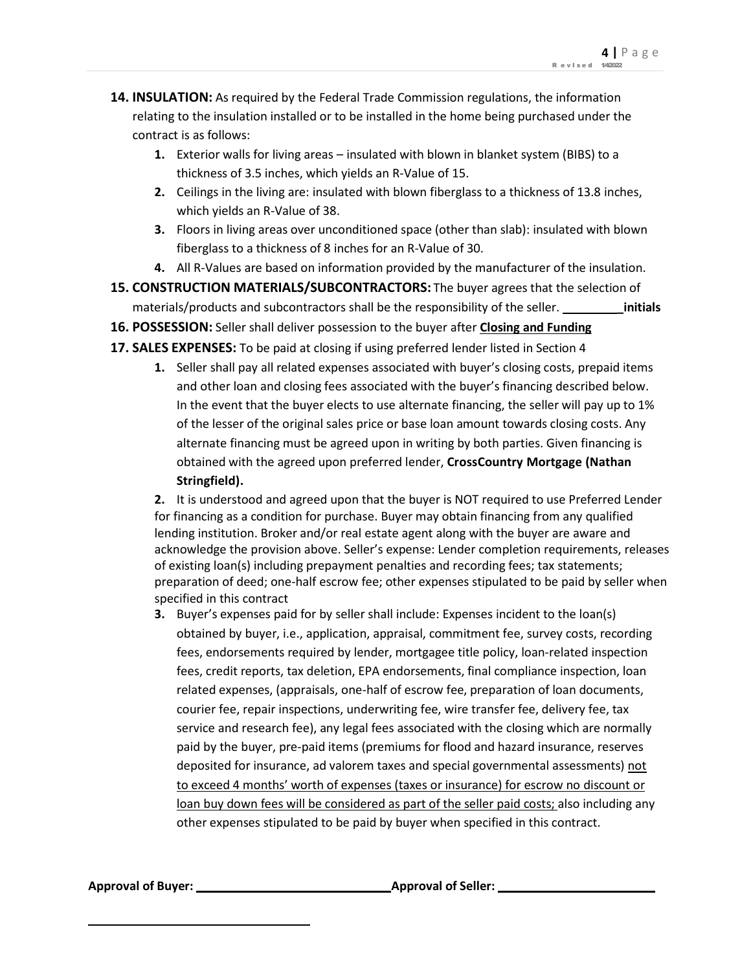- **14. INSULATION:** As required by the Federal Trade Commission regulations, the information relating to the insulation installed or to be installed in the home being purchased under the contract is as follows:
	- **1.** Exterior walls for living areas insulated with blown in blanket system (BIBS) to a thickness of 3.5 inches, which yields an R-Value of 15.
	- **2.** Ceilings in the living are: insulated with blown fiberglass to a thickness of 13.8 inches, which yields an R-Value of 38.
	- **3.** Floors in living areas over unconditioned space (other than slab): insulated with blown fiberglass to a thickness of 8 inches for an R-Value of 30.
	- **4.** All R-Values are based on information provided by the manufacturer of the insulation.
- **15. CONSTRUCTION MATERIALS/SUBCONTRACTORS:** The buyer agrees that the selection of materials/products and subcontractors shall be the responsibility of the seller. **\_\_\_\_\_\_\_\_\_\_\_\_\_ initials**
- **16. POSSESSION:** Seller shall deliver possession to the buyer after **Closing and Funding**
- **17. SALES EXPENSES:** To be paid at closing if using preferred lender listed in Section 4
	- **1.** Seller shall pay all related expenses associated with buyer's closing costs, prepaid items and other loan and closing fees associated with the buyer's financing described below. In the event that the buyer elects to use alternate financing, the seller will pay up to 1% of the lesser of the original sales price or base loan amount towards closing costs. Any alternate financing must be agreed upon in writing by both parties. Given financing is obtained with the agreed upon preferred lender, **CrossCountry Mortgage (Nathan Stringfield).**

**2.** It is understood and agreed upon that the buyer is NOT required to use Preferred Lender for financing as a condition for purchase. Buyer may obtain financing from any qualified lending institution. Broker and/or real estate agent along with the buyer are aware and acknowledge the provision above. Seller's expense: Lender completion requirements, releases of existing loan(s) including prepayment penalties and recording fees; tax statements; preparation of deed; one-half escrow fee; other expenses stipulated to be paid by seller when specified in this contract

**3.** Buyer's expenses paid for by seller shall include: Expenses incident to the loan(s) obtained by buyer, i.e., application, appraisal, commitment fee, survey costs, recording fees, endorsements required by lender, mortgagee title policy, loan-related inspection fees, credit reports, tax deletion, EPA endorsements, final compliance inspection, loan related expenses, (appraisals, one-half of escrow fee, preparation of loan documents, courier fee, repair inspections, underwriting fee, wire transfer fee, delivery fee, tax service and research fee), any legal fees associated with the closing which are normally paid by the buyer, pre-paid items (premiums for flood and hazard insurance, reserves deposited for insurance, ad valorem taxes and special governmental assessments) not to exceed 4 months' worth of expenses (taxes or insurance) for escrow no discount or loan buy down fees will be considered as part of the seller paid costs; also including any other expenses stipulated to be paid by buyer when specified in this contract.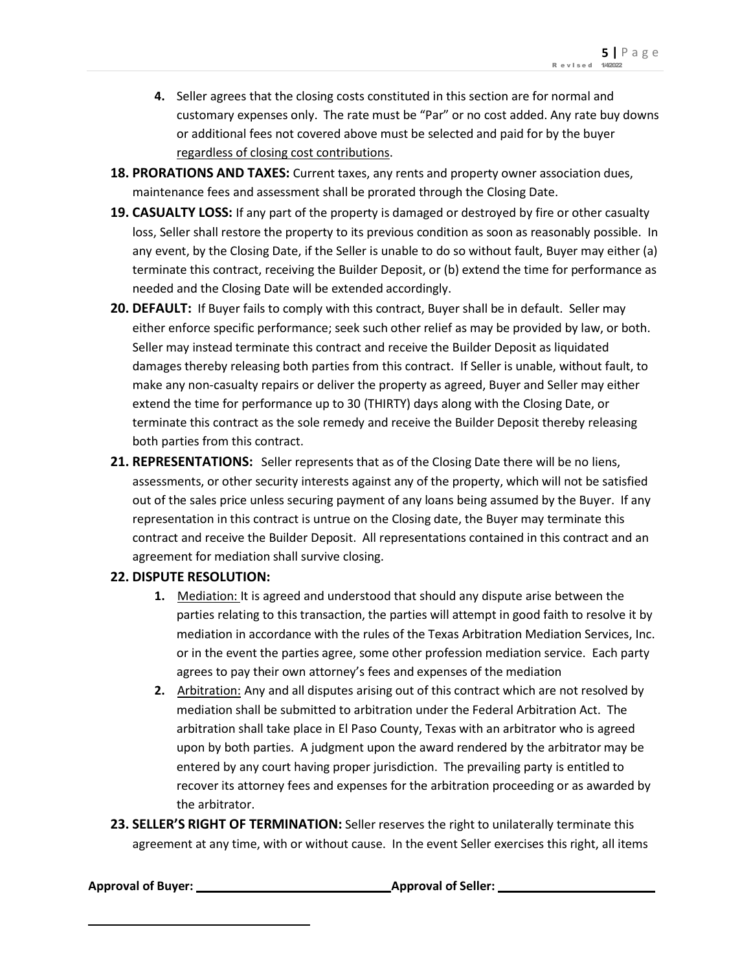- **4.** Seller agrees that the closing costs constituted in this section are for normal and customary expenses only. The rate must be "Par" or no cost added. Any rate buy downs or additional fees not covered above must be selected and paid for by the buyer regardless of closing cost contributions.
- **18. PRORATIONS AND TAXES:** Current taxes, any rents and property owner association dues, maintenance fees and assessment shall be prorated through the Closing Date.
- **19. CASUALTY LOSS:** If any part of the property is damaged or destroyed by fire or other casualty loss, Seller shall restore the property to its previous condition as soon as reasonably possible. In any event, by the Closing Date, if the Seller is unable to do so without fault, Buyer may either (a) terminate this contract, receiving the Builder Deposit, or (b) extend the time for performance as needed and the Closing Date will be extended accordingly.
- **20. DEFAULT:** If Buyer fails to comply with this contract, Buyer shall be in default. Seller may either enforce specific performance; seek such other relief as may be provided by law, or both. Seller may instead terminate this contract and receive the Builder Deposit as liquidated damages thereby releasing both parties from this contract. If Seller is unable, without fault, to make any non-casualty repairs or deliver the property as agreed, Buyer and Seller may either extend the time for performance up to 30 (THIRTY) days along with the Closing Date, or terminate this contract as the sole remedy and receive the Builder Deposit thereby releasing both parties from this contract.
- **21. REPRESENTATIONS:** Seller represents that as of the Closing Date there will be no liens, assessments, or other security interests against any of the property, which will not be satisfied out of the sales price unless securing payment of any loans being assumed by the Buyer. If any representation in this contract is untrue on the Closing date, the Buyer may terminate this contract and receive the Builder Deposit. All representations contained in this contract and an agreement for mediation shall survive closing.

### **22. DISPUTE RESOLUTION:**

- **1.** Mediation: It is agreed and understood that should any dispute arise between the parties relating to this transaction, the parties will attempt in good faith to resolve it by mediation in accordance with the rules of the Texas Arbitration Mediation Services, Inc. or in the event the parties agree, some other profession mediation service. Each party agrees to pay their own attorney's fees and expenses of the mediation
- **2.** Arbitration: Any and all disputes arising out of this contract which are not resolved by mediation shall be submitted to arbitration under the Federal Arbitration Act. The arbitration shall take place in El Paso County, Texas with an arbitrator who is agreed upon by both parties. A judgment upon the award rendered by the arbitrator may be entered by any court having proper jurisdiction. The prevailing party is entitled to recover its attorney fees and expenses for the arbitration proceeding or as awarded by the arbitrator.
- **23. SELLER'S RIGHT OF TERMINATION:** Seller reserves the right to unilaterally terminate this agreement at any time, with or without cause. In the event Seller exercises this right, all items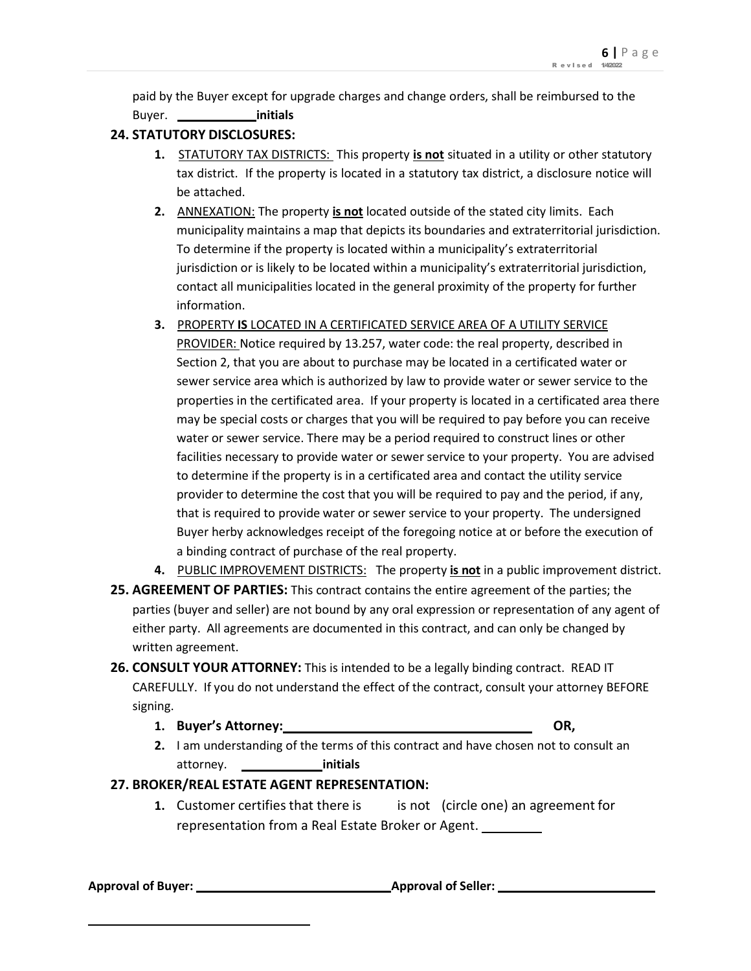paid by the Buyer except for upgrade charges and change orders, shall be reimbursed to the Buyer. **initials**

## **24. STATUTORY DISCLOSURES:**

- **1.** STATUTORY TAX DISTRICTS: This property **is not** situated in a utility or other statutory tax district. If the property is located in a statutory tax district, a disclosure notice will be attached.
- **2.** ANNEXATION: The property **is not** located outside of the stated city limits. Each municipality maintains a map that depicts its boundaries and extraterritorial jurisdiction. To determine if the property is located within a municipality's extraterritorial jurisdiction or is likely to be located within a municipality's extraterritorial jurisdiction, contact all municipalities located in the general proximity of the property for further information.
- **3.** PROPERTY **IS** LOCATED IN A CERTIFICATED SERVICE AREA OF A UTILITY SERVICE PROVIDER: Notice required by 13.257, water code: the real property, described in Section 2, that you are about to purchase may be located in a certificated water or sewer service area which is authorized by law to provide water or sewer service to the properties in the certificated area. If your property is located in a certificated area there may be special costs or charges that you will be required to pay before you can receive water or sewer service. There may be a period required to construct lines or other facilities necessary to provide water or sewer service to your property. You are advised to determine if the property is in a certificated area and contact the utility service provider to determine the cost that you will be required to pay and the period, if any, that is required to provide water or sewer service to your property. The undersigned Buyer herby acknowledges receipt of the foregoing notice at or before the execution of a binding contract of purchase of the real property.
- **4.** PUBLIC IMPROVEMENT DISTRICTS: The property **is not** in a public improvement district.
- **25. AGREEMENT OF PARTIES:** This contract contains the entire agreement of the parties; the parties (buyer and seller) are not bound by any oral expression or representation of any agent of either party. All agreements are documented in this contract, and can only be changed by written agreement.
- **26. CONSULT YOUR ATTORNEY:** This is intended to be a legally binding contract. READ IT CAREFULLY. If you do not understand the effect of the contract, consult your attorney BEFORE signing.
	- **1. Buyer's Attorney: OR,**
	- **2.** I am understanding of the terms of this contract and have chosen not to consult an attorney. **initials**

### **27. BROKER/REAL ESTATE AGENT REPRESENTATION:**

**1.** Customer certifies that there is is not (circle one) an agreement for representation from a Real Estate Broker or Agent.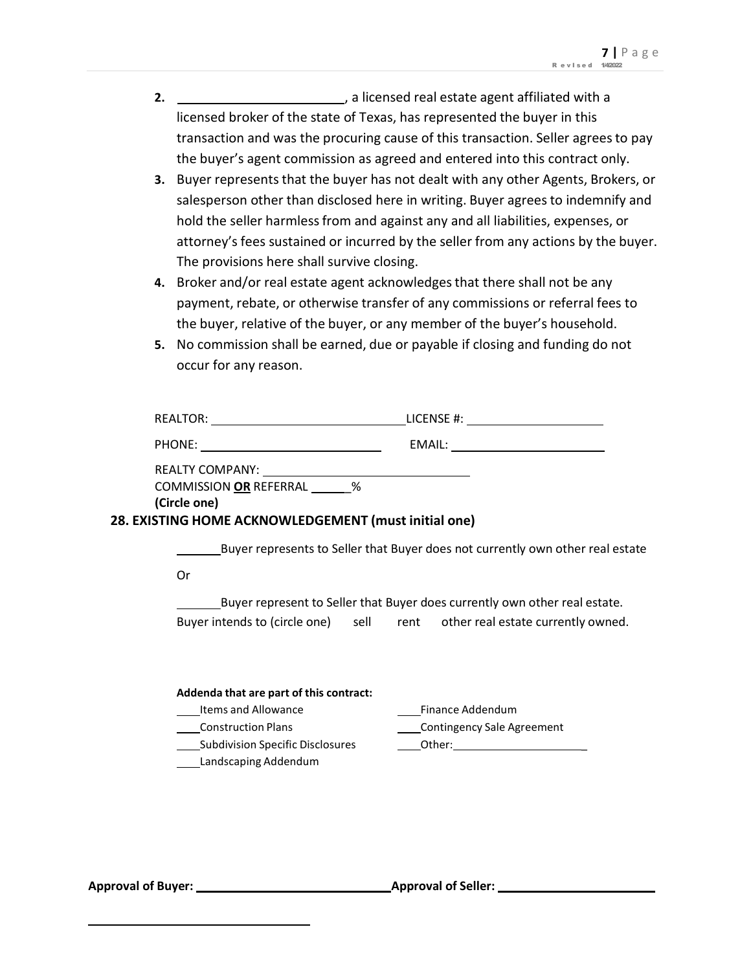- **2.** , a licensed real estate agent affiliated with a licensed broker of the state of Texas, has represented the buyer in this transaction and was the procuring cause of this transaction. Seller agreesto pay the buyer's agent commission as agreed and entered into this contract only.
- **3.** Buyer represents that the buyer has not dealt with any other Agents, Brokers, or salesperson other than disclosed here in writing. Buyer agrees to indemnify and hold the seller harmless from and against any and all liabilities, expenses, or attorney's fees sustained or incurred by the seller from any actions by the buyer. The provisions here shall survive closing.
- **4.** Broker and/or real estate agent acknowledgesthat there shall not be any payment, rebate, or otherwise transfer of any commissions or referral fees to the buyer, relative of the buyer, or any member of the buyer's household.
- **5.** No commission shall be earned, due or payable if closing and funding do not occur for any reason.

| COMMISSION OR REFERRAL %<br>(Circle one)<br>28. EXISTING HOME ACKNOWLEDGEMENT (must initial one) |                                                                                                                                                          |
|--------------------------------------------------------------------------------------------------|----------------------------------------------------------------------------------------------------------------------------------------------------------|
| 0r                                                                                               | Buyer represents to Seller that Buyer does not currently own other real estate                                                                           |
|                                                                                                  | Buyer represent to Seller that Buyer does currently own other real estate.<br>Buyer intends to (circle one) sell rent other real estate currently owned. |

| Addenda that are part of this contract: |                                   |  |  |  |  |
|-----------------------------------------|-----------------------------------|--|--|--|--|
| Items and Allowance                     | Finance Addendum                  |  |  |  |  |
| <b>Construction Plans</b>               | <b>Contingency Sale Agreement</b> |  |  |  |  |
| <b>Subdivision Specific Disclosures</b> | Other:                            |  |  |  |  |
| Landscaping Addendum                    |                                   |  |  |  |  |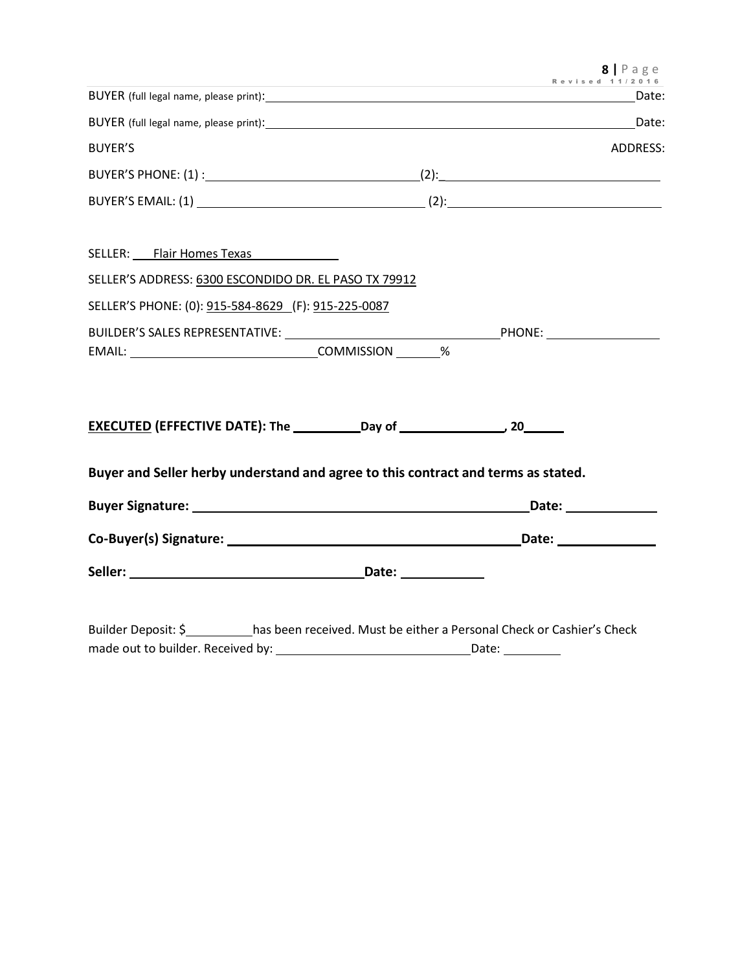|                                                                                           | Revised 11/2016 |  | $8$   Page      |
|-------------------------------------------------------------------------------------------|-----------------|--|-----------------|
|                                                                                           |                 |  | Date:           |
|                                                                                           |                 |  |                 |
| <b>BUYER'S</b>                                                                            |                 |  | <b>ADDRESS:</b> |
|                                                                                           |                 |  |                 |
|                                                                                           |                 |  |                 |
| SELLER: Flair Homes Texas                                                                 |                 |  |                 |
| SELLER'S ADDRESS: 6300 ESCONDIDO DR. EL PASO TX 79912                                     |                 |  |                 |
| SELLER'S PHONE: (0): 915-584-8629 (F): 915-225-0087                                       |                 |  |                 |
|                                                                                           |                 |  |                 |
|                                                                                           |                 |  |                 |
|                                                                                           |                 |  |                 |
| Buyer and Seller herby understand and agree to this contract and terms as stated.         |                 |  |                 |
|                                                                                           |                 |  |                 |
|                                                                                           |                 |  |                 |
|                                                                                           |                 |  |                 |
| Builder Deposit: \$ has been received. Must be either a Personal Check or Cashier's Check |                 |  |                 |

made out to builder. Received by: Date: